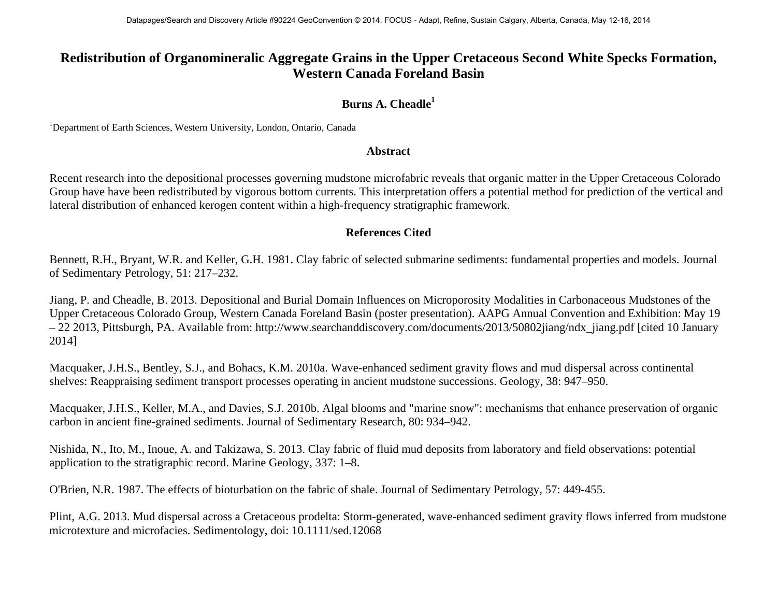## **Redistribution of Organomineralic Aggregate Grains in the Upper Cretaceous Second White Specks Formation, Western Canada Foreland Basin**

## **Burns A. Cheadle<sup>1</sup>**

<sup>1</sup>Department of Earth Sciences, Western University, London, Ontario, Canada

## **Abstract**

Recent research into the depositional processes governing mudstone microfabric reveals that organic matter in the Upper Cretaceous Colorado Group have have been redistributed by vigorous bottom currents. This interpretation offers a potential method for prediction of the vertical and lateral distribution of enhanced kerogen content within a high-frequency stratigraphic framework.

## **References Cited**

Bennett, R.H., Bryant, W.R. and Keller, G.H. 1981. Clay fabric of selected submarine sediments: fundamental properties and models. Journal of Sedimentary Petrology, 51: 217–232.

Jiang, P. and Cheadle, B. 2013. Depositional and Burial Domain Influences on Microporosity Modalities in Carbonaceous Mudstones of the Upper Cretaceous Colorado Group, Western Canada Foreland Basin (poster presentation). AAPG Annual Convention and Exhibition: May 19 – 22 2013, Pittsburgh, PA. Available from: http://www.searchanddiscovery.com/documents/2013/50802jiang/ndx\_jiang.pdf [cited 10 January 2014]

Macquaker, J.H.S., Bentley, S.J., and Bohacs, K.M. 2010a. Wave-enhanced sediment gravity flows and mud dispersal across continental shelves: Reappraising sediment transport processes operating in ancient mudstone successions. Geology, 38: 947–950.

Macquaker, J.H.S., Keller, M.A., and Davies, S.J. 2010b. Algal blooms and "marine snow": mechanisms that enhance preservation of organic carbon in ancient fine-grained sediments. Journal of Sedimentary Research, 80: 934–942.

Nishida, N., Ito, M., Inoue, A. and Takizawa, S. 2013. Clay fabric of fluid mud deposits from laboratory and field observations: potential application to the stratigraphic record. Marine Geology, 337: 1–8.

O'Brien, N.R. 1987. The effects of bioturbation on the fabric of shale. Journal of Sedimentary Petrology, 57: 449-455.

Plint, A.G. 2013. Mud dispersal across a Cretaceous prodelta: Storm-generated, wave-enhanced sediment gravity flows inferred from mudstone microtexture and microfacies. Sedimentology, doi: 10.1111/sed.12068